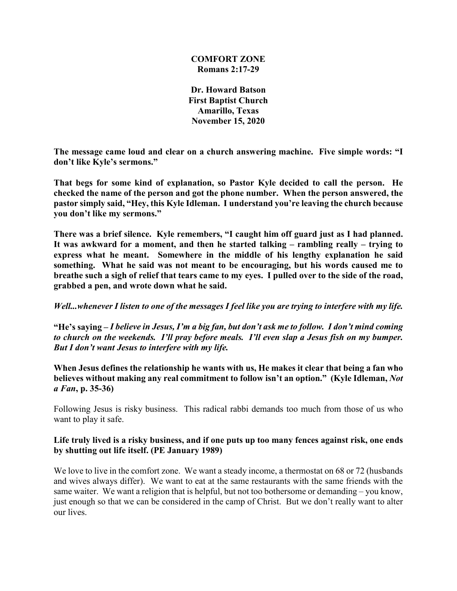## **COMFORT ZONE Romans 2:17-29**

**Dr. Howard Batson First Baptist Church Amarillo, Texas November 15, 2020**

**The message came loud and clear on a church answering machine. Five simple words: "I don't like Kyle's sermons."**

**That begs for some kind of explanation, so Pastor Kyle decided to call the person. He checked the name of the person and got the phone number. When the person answered, the pastor simply said, "Hey, this Kyle Idleman. I understand you're leaving the church because you don't like my sermons."**

**There was a brief silence. Kyle remembers, "I caught him off guard just as I had planned. It was awkward for a moment, and then he started talking – rambling really – trying to express what he meant. Somewhere in the middle of his lengthy explanation he said something. What he said was not meant to be encouraging, but his words caused me to breathe such a sigh of relief that tears came to my eyes. I pulled over to the side of the road, grabbed a pen, and wrote down what he said.**

*Well...whenever I listen to one of the messages I feel like you are trying to interfere with my life.*

**"He's saying –** *I believe in Jesus, I'm a big fan, but don't ask me to follow. I don't mind coming to church on the weekends. I'll pray before meals. I'll even slap a Jesus fish on my bumper. But I don't want Jesus to interfere with my life.* 

**When Jesus defines the relationship he wants with us, He makes it clear that being a fan who believes without making any real commitment to follow isn't an option." (Kyle Idleman,** *Not a Fan***, p. 35-36)**

Following Jesus is risky business. This radical rabbi demands too much from those of us who want to play it safe.

# **Life truly lived is a risky business, and if one puts up too many fences against risk, one ends by shutting out life itself. (PE January 1989)**

We love to live in the comfort zone. We want a steady income, a thermostat on 68 or 72 (husbands and wives always differ). We want to eat at the same restaurants with the same friends with the same waiter. We want a religion that is helpful, but not too bothersome or demanding – you know, just enough so that we can be considered in the camp of Christ. But we don't really want to alter our lives.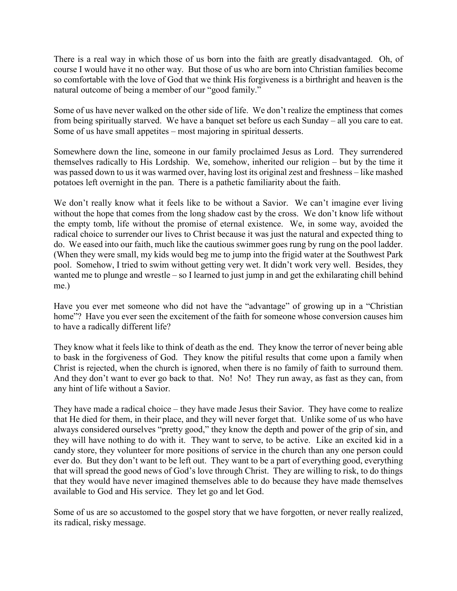There is a real way in which those of us born into the faith are greatly disadvantaged. Oh, of course I would have it no other way. But those of us who are born into Christian families become so comfortable with the love of God that we think His forgiveness is a birthright and heaven is the natural outcome of being a member of our "good family."

Some of us have never walked on the other side of life. We don't realize the emptiness that comes from being spiritually starved. We have a banquet set before us each Sunday – all you care to eat. Some of us have small appetites – most majoring in spiritual desserts.

Somewhere down the line, someone in our family proclaimed Jesus as Lord. They surrendered themselves radically to His Lordship. We, somehow, inherited our religion – but by the time it was passed down to us it was warmed over, having lost its original zest and freshness – like mashed potatoes left overnight in the pan. There is a pathetic familiarity about the faith.

We don't really know what it feels like to be without a Savior. We can't imagine ever living without the hope that comes from the long shadow cast by the cross. We don't know life without the empty tomb, life without the promise of eternal existence. We, in some way, avoided the radical choice to surrender our lives to Christ because it was just the natural and expected thing to do. We eased into our faith, much like the cautious swimmer goes rung by rung on the pool ladder. (When they were small, my kids would beg me to jump into the frigid water at the Southwest Park pool. Somehow, I tried to swim without getting very wet. It didn't work very well. Besides, they wanted me to plunge and wrestle – so I learned to just jump in and get the exhilarating chill behind me.)

Have you ever met someone who did not have the "advantage" of growing up in a "Christian home"? Have you ever seen the excitement of the faith for someone whose conversion causes him to have a radically different life?

They know what it feels like to think of death as the end. They know the terror of never being able to bask in the forgiveness of God. They know the pitiful results that come upon a family when Christ is rejected, when the church is ignored, when there is no family of faith to surround them. And they don't want to ever go back to that. No! No! They run away, as fast as they can, from any hint of life without a Savior.

They have made a radical choice – they have made Jesus their Savior. They have come to realize that He died for them, in their place, and they will never forget that. Unlike some of us who have always considered ourselves "pretty good," they know the depth and power of the grip of sin, and they will have nothing to do with it. They want to serve, to be active. Like an excited kid in a candy store, they volunteer for more positions of service in the church than any one person could ever do. But they don't want to be left out. They want to be a part of everything good, everything that will spread the good news of God's love through Christ. They are willing to risk, to do things that they would have never imagined themselves able to do because they have made themselves available to God and His service. They let go and let God.

Some of us are so accustomed to the gospel story that we have forgotten, or never really realized, its radical, risky message.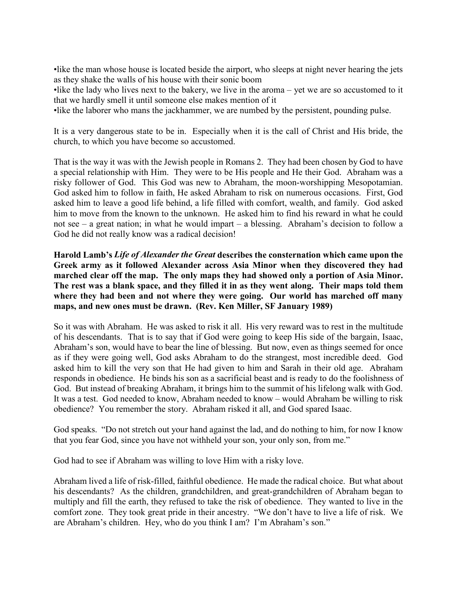•like the man whose house is located beside the airport, who sleeps at night never hearing the jets as they shake the walls of his house with their sonic boom

•like the lady who lives next to the bakery, we live in the aroma – yet we are so accustomed to it that we hardly smell it until someone else makes mention of it

•like the laborer who mans the jackhammer, we are numbed by the persistent, pounding pulse.

It is a very dangerous state to be in. Especially when it is the call of Christ and His bride, the church, to which you have become so accustomed.

That is the way it was with the Jewish people in Romans 2. They had been chosen by God to have a special relationship with Him. They were to be His people and He their God. Abraham was a risky follower of God. This God was new to Abraham, the moon-worshipping Mesopotamian. God asked him to follow in faith, He asked Abraham to risk on numerous occasions. First, God asked him to leave a good life behind, a life filled with comfort, wealth, and family. God asked him to move from the known to the unknown. He asked him to find his reward in what he could not see – a great nation; in what he would impart – a blessing. Abraham's decision to follow a God he did not really know was a radical decision!

**Harold Lamb's** *Life of Alexander the Great* **describes the consternation which came upon the Greek army as it followed Alexander across Asia Minor when they discovered they had marched clear off the map. The only maps they had showed only a portion of Asia Minor. The rest was a blank space, and they filled it in as they went along. Their maps told them where they had been and not where they were going. Our world has marched off many maps, and new ones must be drawn. (Rev. Ken Miller, SF January 1989)**

So it was with Abraham. He was asked to risk it all. His very reward was to rest in the multitude of his descendants. That is to say that if God were going to keep His side of the bargain, Isaac, Abraham's son, would have to bear the line of blessing. But now, even as things seemed for once as if they were going well, God asks Abraham to do the strangest, most incredible deed. God asked him to kill the very son that He had given to him and Sarah in their old age. Abraham responds in obedience. He binds his son as a sacrificial beast and is ready to do the foolishness of God. But instead of breaking Abraham, it brings him to the summit of his lifelong walk with God. It was a test. God needed to know, Abraham needed to know – would Abraham be willing to risk obedience? You remember the story. Abraham risked it all, and God spared Isaac.

God speaks. "Do not stretch out your hand against the lad, and do nothing to him, for now I know that you fear God, since you have not withheld your son, your only son, from me."

God had to see if Abraham was willing to love Him with a risky love.

Abraham lived a life of risk-filled, faithful obedience. He made the radical choice. But what about his descendants? As the children, grandchildren, and great-grandchildren of Abraham began to multiply and fill the earth, they refused to take the risk of obedience. They wanted to live in the comfort zone. They took great pride in their ancestry. "We don't have to live a life of risk. We are Abraham's children. Hey, who do you think I am? I'm Abraham's son."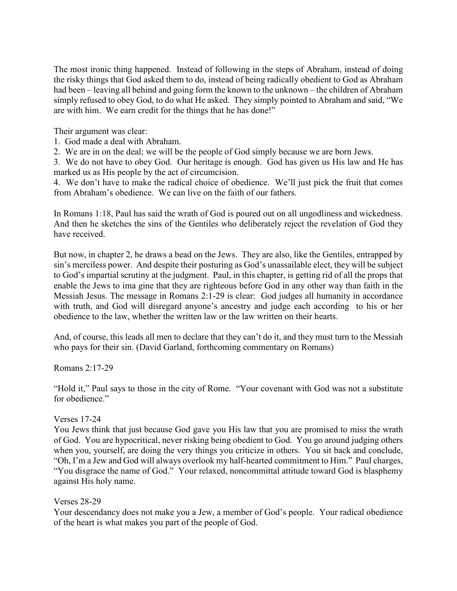The most ironic thing happened. Instead of following in the steps of Abraham, instead of doing the risky things that God asked them to do, instead of being radically obedient to God as Abraham had been – leaving all behind and going form the known to the unknown – the children of Abraham simply refused to obey God, to do what He asked. They simply pointed to Abraham and said, "We are with him. We earn credit for the things that he has done!"

Their argument was clear:

- 1. God made a deal with Abraham.
- 2. We are in on the deal; we will be the people of God simply because we are born Jews.

3. We do not have to obey God. Our heritage is enough. God has given us His law and He has marked us as His people by the act of circumcision.

4. We don't have to make the radical choice of obedience. We'll just pick the fruit that comes from Abraham's obedience. We can live on the faith of our fathers.

In Romans 1:18, Paul has said the wrath of God is poured out on all ungodliness and wickedness. And then he sketches the sins of the Gentiles who deliberately reject the revelation of God they have received.

But now, in chapter 2, he draws a bead on the Jews. They are also, like the Gentiles, entrapped by sin's merciless power. And despite their posturing as God's unassailable elect, they will be subject to God's impartial scrutiny at the judgment. Paul, in this chapter, is getting rid of all the props that enable the Jews to ima gine that they are righteous before God in any other way than faith in the Messiah Jesus. The message in Romans 2:1-29 is clear: God judges all humanity in accordance with truth, and God will disregard anyone's ancestry and judge each according to his or her obedience to the law, whether the written law or the law written on their hearts.

And, of course, this leads all men to declare that they can't do it, and they must turn to the Messiah who pays for their sin. (David Garland, forthcoming commentary on Romans)

### Romans 2:17-29

"Hold it," Paul says to those in the city of Rome. "Your covenant with God was not a substitute for obedience."

### Verses 17-24

You Jews think that just because God gave you His law that you are promised to miss the wrath of God. You are hypocritical, never risking being obedient to God. You go around judging others when you, yourself, are doing the very things you criticize in others. You sit back and conclude, "Oh, I'm a Jew and God will always overlook my half-hearted commitment to Him." Paul charges, "You disgrace the name of God." Your relaxed, noncommittal attitude toward God is blasphemy against His holy name.

### Verses 28-29

Your descendancy does not make you a Jew, a member of God's people. Your radical obedience of the heart is what makes you part of the people of God.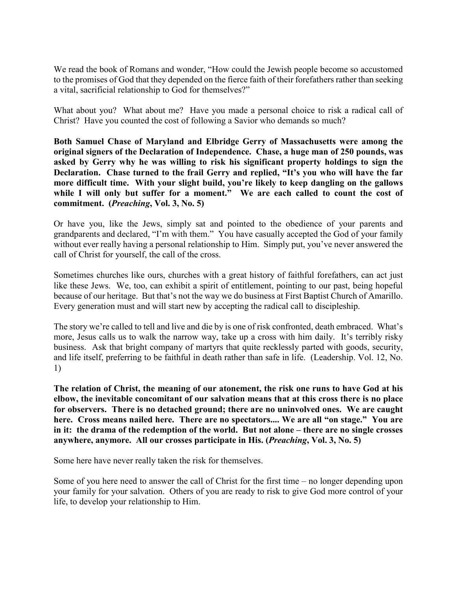We read the book of Romans and wonder, "How could the Jewish people become so accustomed to the promises of God that they depended on the fierce faith of their forefathers rather than seeking a vital, sacrificial relationship to God for themselves?"

What about you? What about me? Have you made a personal choice to risk a radical call of Christ? Have you counted the cost of following a Savior who demands so much?

**Both Samuel Chase of Maryland and Elbridge Gerry of Massachusetts were among the original signers of the Declaration of Independence. Chase, a huge man of 250 pounds, was asked by Gerry why he was willing to risk his significant property holdings to sign the Declaration. Chase turned to the frail Gerry and replied, "It's you who will have the far more difficult time. With your slight build, you're likely to keep dangling on the gallows while I will only but suffer for a moment." We are each called to count the cost of commitment. (***Preaching***, Vol. 3, No. 5)**

Or have you, like the Jews, simply sat and pointed to the obedience of your parents and grandparents and declared, "I'm with them." You have casually accepted the God of your family without ever really having a personal relationship to Him. Simply put, you've never answered the call of Christ for yourself, the call of the cross.

Sometimes churches like ours, churches with a great history of faithful forefathers, can act just like these Jews. We, too, can exhibit a spirit of entitlement, pointing to our past, being hopeful because of our heritage. But that's not the way we do business at First Baptist Church of Amarillo. Every generation must and will start new by accepting the radical call to discipleship.

The story we're called to tell and live and die by is one of risk confronted, death embraced. What's more, Jesus calls us to walk the narrow way, take up a cross with him daily. It's terribly risky business. Ask that bright company of martyrs that quite recklessly parted with goods, security, and life itself, preferring to be faithful in death rather than safe in life. (Leadership. Vol. 12, No. 1)

**The relation of Christ, the meaning of our atonement, the risk one runs to have God at his elbow, the inevitable concomitant of our salvation means that at this cross there is no place for observers. There is no detached ground; there are no uninvolved ones. We are caught here. Cross means nailed here. There are no spectators.... We are all "on stage." You are in it: the drama of the redemption of the world. But not alone – there are no single crosses anywhere, anymore. All our crosses participate in His. (***Preaching***, Vol. 3, No. 5)**

Some here have never really taken the risk for themselves.

Some of you here need to answer the call of Christ for the first time – no longer depending upon your family for your salvation. Others of you are ready to risk to give God more control of your life, to develop your relationship to Him.